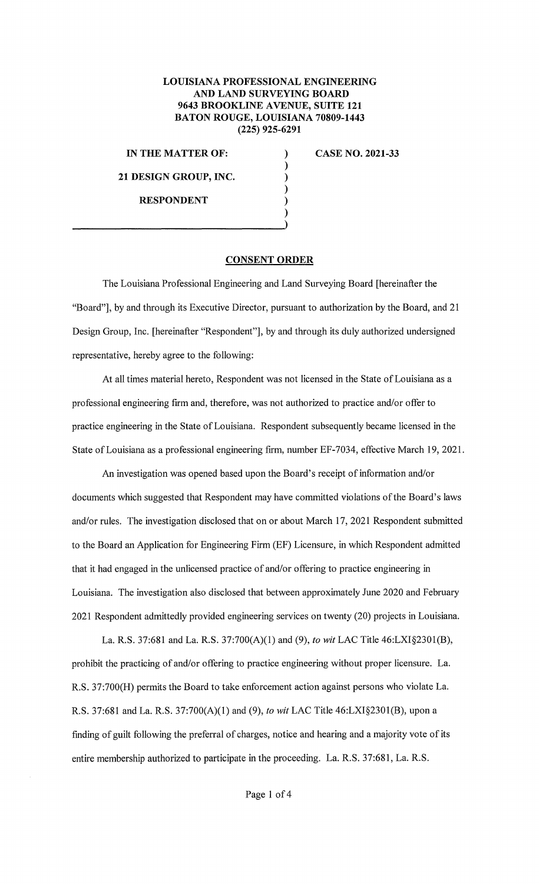## **LOUISIANA PROFESSIONAL ENGINEERING AND LAND SURVEYING BOARD 9643 BROOKLINE A VENUE, SUITE 121 BATON ROUGE, LOUISIANA 70809-1443 (225) 925-6291**

) ) ) ) ) )

**IN THE MATTER OF:** 

**21 DESIGN GROUP, INC.** 

**RESPONDENT** 

**CASE NO. 2021-33** 

## **CONSENT ORDER**

The Louisiana Professional Engineering and Land Surveying Board [hereinafter the "Board"], by and through its Executive Director, pursuant to authorization by the Board, and 21 Design Group, Inc. [hereinafter "Respondent"], by and through its duly authorized undersigned representative, hereby agree to the following:

At all times material hereto, Respondent was not licensed in the State of Louisiana as a professional engineering firm and, therefore, was not authorized to practice and/or offer to practice engineering in the State of Louisiana. Respondent subsequently became licensed in the State of Louisiana as a professional engineering firm, number EF-7034, effective March 19, 2021.

An investigation was opened based upon the Board's receipt of information and/or documents which suggested that Respondent may have committed violations of the Board's laws and/or rules. The investigation disclosed that on or about March 17, 2021 Respondent submitted to the Board an Application for Engineering Firm (EF) Licensure, in which Respondent admitted that it had engaged in the unlicensed practice of and/or offering to practice engineering in Louisiana. The investigation also disclosed that between approximately June 2020 and February 2021 Respondent admittedly provided engineering services on twenty (20) projects in Louisiana.

La. **R.S.** 37:681 and La. **R.S.** 37:700(A)(l) and (9), *to wit* LAC Title 46:LXI§2301(B), prohibit the practicing of and/or offering to practice engineering without proper licensure. La. R.S. 37:700(H) permits the Board to take enforcement action against persons who violate La. **R.S.** 37:681 and La. **R.S.** 37:700(A)(l) and (9), *to wit* LAC Title 46:LXI§2301(B), upon a finding of guilt following the preferral of charges, notice and hearing and a majority vote of its entire membership authorized to participate in the proceeding. La. R.S. 37:681, La. R.S.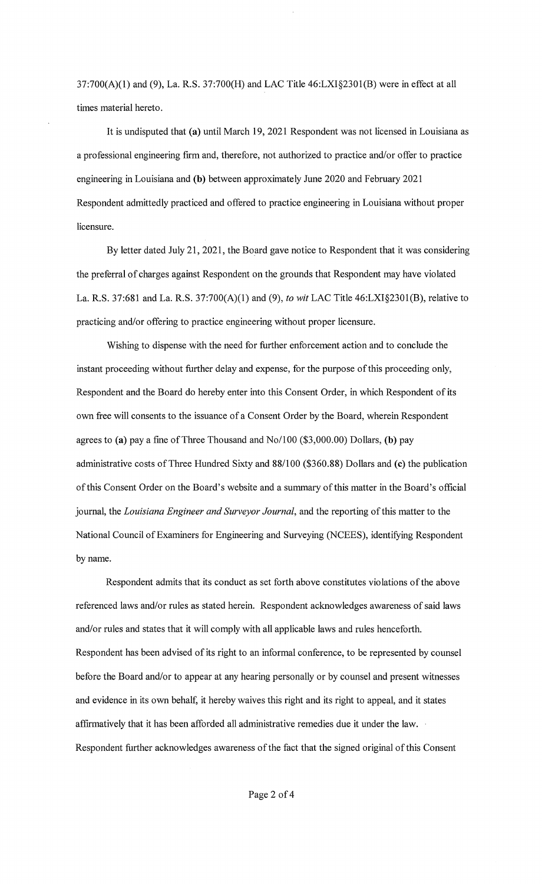37:700(A)(l) and (9), La. **R.S.** 37:700(H) and LAC Title 46:LXI§2301(B) were in effect at all times material hereto.

It is undisputed that (a) until March 19, 2021 Respondent was not licensed in Louisiana as a professional engineering firm and, therefore, not authorized to practice and/or offer to practice engineering in Louisiana and **(b)** between approximately June 2020 and February 2021 Respondent admittedly practiced and offered to practice engineering in Louisiana without proper licensure.

By letter dated July 21, 2021, the Board gave notice to Respondent that it was considering the preferral of charges against Respondent on the grounds that Respondent may have violated La. R.S. 37:681 and La. **R.S.** 37:700(A)(l) and (9), *to wit* LAC Title 46:LXI§2301(B), relative to practicing and/or offering to practice engineering without proper licensure.

Wishing to dispense with the need for further enforcement action and to conclude the instant proceeding without further delay and expense, for the purpose of this proceeding only, Respondent and the Board do hereby enter into this Consent Order, in which Respondent of its own free will consents to the issuance of a Consent Order by the Board, wherein Respondent agrees to **(a)** pay a fine of Three Thousand and No/100 (\$3,000.00) Dollars, **(b)** pay administrative costs of Three Hundred Sixty and 88/100 (\$360.88) Dollars and **(c)** the publication of this Consent Order on the Board's website and a summary of this matter in the Board's official journal, the *Louisiana Engineer and Surveyor Journal,* and the reporting of this matter to the National Council of Examiners for Engineering and Surveying (NCEES), identifying Respondent by name.

Respondent admits that its conduct as set forth above constitutes violations of the above referenced laws and/or rules as stated herein. Respondent acknowledges awareness of said laws and/or rules and states that it will comply with all applicable laws and rules henceforth. Respondent has been advised of its right to an informal conference, to be represented by counsel before the Board and/or to appear at any hearing personally or by counsel and present witnesses and evidence in its own behalf, it hereby waives this right and its right to appeal, and it states affirmatively that it has been afforded all administrative remedies due it under the law. Respondent further acknowledges awareness of the fact that the signed original of this Consent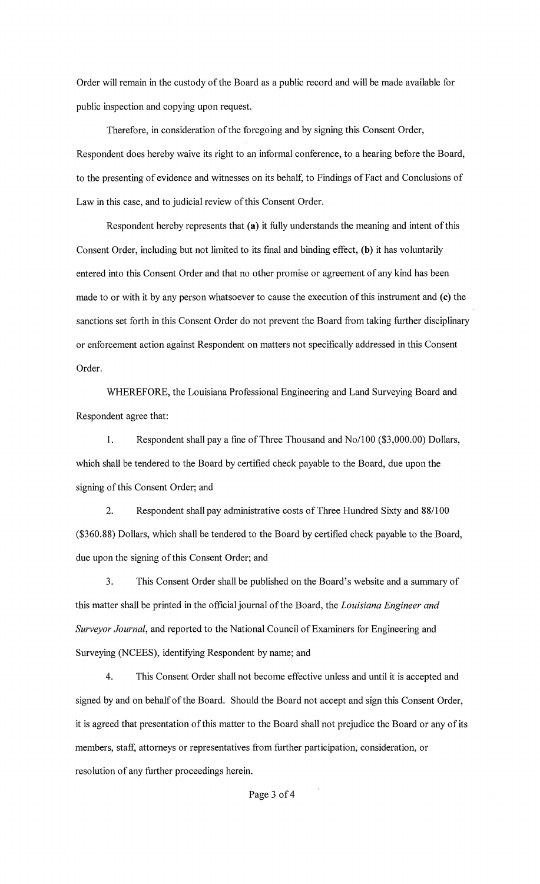Order will remain in the custody of the Board as a public record and will be made available for public inspection and copying upon request.

Therefore, in consideration of the foregoing and by signing this Consent Order, Respondent does hereby waive its right to an informal conference, to a hearing before the Board, to the presenting of evidence and witnesses on its behalf, to Findings of Fact and Conclusions of Law in this case, and to judicial review of this Consent Order.

Respondent hereby represents that (a) it fully understands the meaning and intent of this Consent Order, including but not limited to its final and binding effect, (b) it has voluntarily entered into this Consent Order and that no other promise or agreement of any kind has been made to or with it by any person whatsoever to cause the execution of this instrument and (c) the sanctions set forth in this Consent Order do not prevent the Board from taking further disciplinary or enforcement action against Respondent on matters not specifically addressed in this Consent Order.

WHEREFORE, the Louisiana Professional Engineering and Land Surveying Board and Respondent agree that:

1. Respondent shall pay a fine of Three Thousand and No/100 (\$3,000.00) Dollars, which shall be tendered to the Board by certified check payable to the Board, due upon the signing of this Consent Order; and

2. Respondent shall pay administrative costs of Three Hundred Sixty and 88/100 (\$360.88) Dollars, which shall be tendered to the Board by certified check payable to the Board, due upon the signing of this Consent Order; and

3. This Consent Order shall be published on the Board's website and a summary of this matter shall be printed in the official journal of the Board, the *Louisiana Engineer and Surveyor Journal,* and reported to the National Council of Examiners for Engineering and Surveying (NCEES), identifying Respondent by name; and

4. This Consent Order shall not become effective unless and until it is accepted and signed by and on behalf of the Board. Should the Board not accept and sign this Consent Order, it is agreed that presentation of this matter to the Board shall not prejudice the Board or any of its members, staff, attorneys or representatives from further participation, consideration, or resolution of any further proceedings herein.